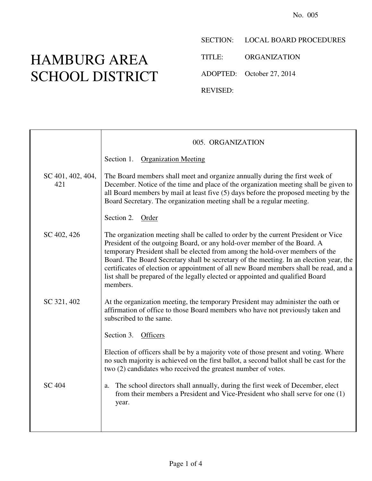## HAMBURG AREA SCHOOL DISTRICT

SECTION: LOCAL BOARD PROCEDURES

TITLE: ORGANIZATION

ADOPTED: October 27, 2014

REVISED:

|                          | 005. ORGANIZATION                                                                                                                                                                                                                                                                                                                                                                                                                                                                                                               |
|--------------------------|---------------------------------------------------------------------------------------------------------------------------------------------------------------------------------------------------------------------------------------------------------------------------------------------------------------------------------------------------------------------------------------------------------------------------------------------------------------------------------------------------------------------------------|
|                          | Section 1. Organization Meeting                                                                                                                                                                                                                                                                                                                                                                                                                                                                                                 |
| SC 401, 402, 404,<br>421 | The Board members shall meet and organize annually during the first week of<br>December. Notice of the time and place of the organization meeting shall be given to<br>all Board members by mail at least five (5) days before the proposed meeting by the<br>Board Secretary. The organization meeting shall be a regular meeting.                                                                                                                                                                                             |
|                          | Section 2. Order                                                                                                                                                                                                                                                                                                                                                                                                                                                                                                                |
| SC 402, 426              | The organization meeting shall be called to order by the current President or Vice<br>President of the outgoing Board, or any hold-over member of the Board. A<br>temporary President shall be elected from among the hold-over members of the<br>Board. The Board Secretary shall be secretary of the meeting. In an election year, the<br>certificates of election or appointment of all new Board members shall be read, and a<br>list shall be prepared of the legally elected or appointed and qualified Board<br>members. |
| SC 321, 402              | At the organization meeting, the temporary President may administer the oath or<br>affirmation of office to those Board members who have not previously taken and<br>subscribed to the same.<br>Section 3. Officers                                                                                                                                                                                                                                                                                                             |
|                          | Election of officers shall be by a majority vote of those present and voting. Where<br>no such majority is achieved on the first ballot, a second ballot shall be cast for the<br>two (2) candidates who received the greatest number of votes.                                                                                                                                                                                                                                                                                 |
| <b>SC 404</b>            | The school directors shall annually, during the first week of December, elect<br>a.<br>from their members a President and Vice-President who shall serve for one (1)<br>year.                                                                                                                                                                                                                                                                                                                                                   |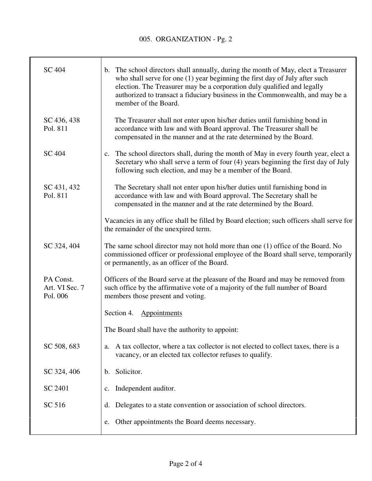| <b>SC 404</b>                           | b. The school directors shall annually, during the month of May, elect a Treasurer<br>who shall serve for one (1) year beginning the first day of July after such<br>election. The Treasurer may be a corporation duly qualified and legally<br>authorized to transact a fiduciary business in the Commonwealth, and may be a<br>member of the Board. |
|-----------------------------------------|-------------------------------------------------------------------------------------------------------------------------------------------------------------------------------------------------------------------------------------------------------------------------------------------------------------------------------------------------------|
| SC 436, 438<br>Pol. 811                 | The Treasurer shall not enter upon his/her duties until furnishing bond in<br>accordance with law and with Board approval. The Treasurer shall be<br>compensated in the manner and at the rate determined by the Board.                                                                                                                               |
| <b>SC 404</b>                           | The school directors shall, during the month of May in every fourth year, elect a<br>c.<br>Secretary who shall serve a term of four (4) years beginning the first day of July<br>following such election, and may be a member of the Board.                                                                                                           |
| SC 431, 432<br>Pol. 811                 | The Secretary shall not enter upon his/her duties until furnishing bond in<br>accordance with law and with Board approval. The Secretary shall be<br>compensated in the manner and at the rate determined by the Board.                                                                                                                               |
|                                         | Vacancies in any office shall be filled by Board election; such officers shall serve for<br>the remainder of the unexpired term.                                                                                                                                                                                                                      |
| SC 324, 404                             | The same school director may not hold more than one (1) office of the Board. No<br>commissioned officer or professional employee of the Board shall serve, temporarily<br>or permanently, as an officer of the Board.                                                                                                                                 |
| PA Const.<br>Art. VI Sec. 7<br>Pol. 006 | Officers of the Board serve at the pleasure of the Board and may be removed from<br>such office by the affirmative vote of a majority of the full number of Board<br>members those present and voting.                                                                                                                                                |
|                                         | Section 4.<br>Appointments                                                                                                                                                                                                                                                                                                                            |
|                                         | The Board shall have the authority to appoint:                                                                                                                                                                                                                                                                                                        |
| SC 508, 683                             | A tax collector, where a tax collector is not elected to collect taxes, there is a<br>a.<br>vacancy, or an elected tax collector refuses to qualify.                                                                                                                                                                                                  |
| SC 324, 406                             | Solicitor.<br>b.                                                                                                                                                                                                                                                                                                                                      |
| SC 2401                                 | Independent auditor.<br>$\mathbf{c}$ .                                                                                                                                                                                                                                                                                                                |
| SC 516                                  | Delegates to a state convention or association of school directors.<br>d.                                                                                                                                                                                                                                                                             |
|                                         | Other appointments the Board deems necessary.<br>e.                                                                                                                                                                                                                                                                                                   |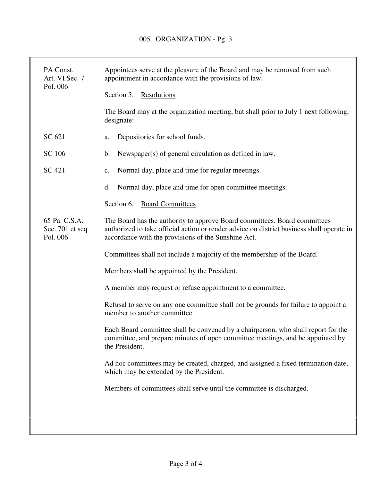| PA Const.<br>Art. VI Sec. 7<br>Pol. 006      | Appointees serve at the pleasure of the Board and may be removed from such<br>appointment in accordance with the provisions of law.                                                                                           |
|----------------------------------------------|-------------------------------------------------------------------------------------------------------------------------------------------------------------------------------------------------------------------------------|
|                                              | Section 5.<br>Resolutions                                                                                                                                                                                                     |
|                                              | The Board may at the organization meeting, but shall prior to July 1 next following,<br>designate:                                                                                                                            |
| SC 621                                       | Depositories for school funds.<br>a.                                                                                                                                                                                          |
| SC 106                                       | Newspaper(s) of general circulation as defined in law.<br>$\mathbf b$ .                                                                                                                                                       |
| SC 421                                       | Normal day, place and time for regular meetings.<br>$\mathbf{c}$ .                                                                                                                                                            |
|                                              | Normal day, place and time for open committee meetings.<br>$\mathbf{d}$ .                                                                                                                                                     |
|                                              | Section 6.<br><b>Board Committees</b>                                                                                                                                                                                         |
| 65 Pa. C.S.A.<br>Sec. 701 et seq<br>Pol. 006 | The Board has the authority to approve Board committees. Board committees<br>authorized to take official action or render advice on district business shall operate in<br>accordance with the provisions of the Sunshine Act. |
|                                              | Committees shall not include a majority of the membership of the Board.                                                                                                                                                       |
|                                              | Members shall be appointed by the President.                                                                                                                                                                                  |
|                                              | A member may request or refuse appointment to a committee.                                                                                                                                                                    |
|                                              | Refusal to serve on any one committee shall not be grounds for failure to appoint a<br>member to another committee.                                                                                                           |
|                                              | Each Board committee shall be convened by a chairperson, who shall report for the<br>committee, and prepare minutes of open committee meetings, and be appointed by<br>the President.                                         |
|                                              | Ad hoc committees may be created, charged, and assigned a fixed termination date,<br>which may be extended by the President.                                                                                                  |
|                                              | Members of committees shall serve until the committee is discharged.                                                                                                                                                          |
|                                              |                                                                                                                                                                                                                               |
|                                              |                                                                                                                                                                                                                               |
|                                              |                                                                                                                                                                                                                               |